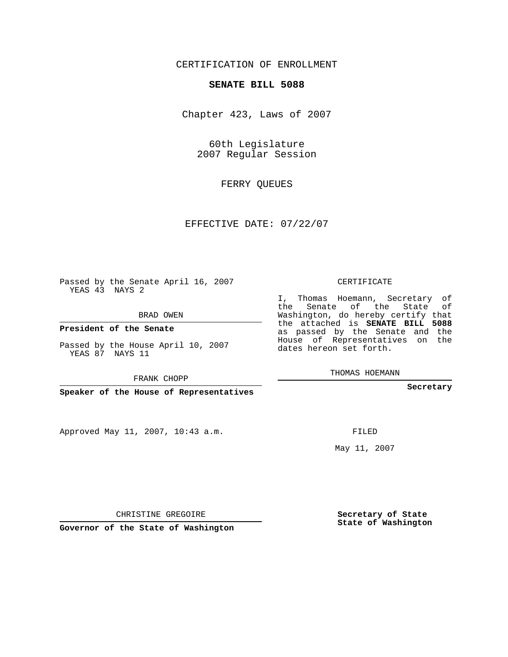## CERTIFICATION OF ENROLLMENT

### **SENATE BILL 5088**

Chapter 423, Laws of 2007

60th Legislature 2007 Regular Session

FERRY QUEUES

EFFECTIVE DATE: 07/22/07

Passed by the Senate April 16, 2007 YEAS 43 NAYS 2

BRAD OWEN

**President of the Senate**

Passed by the House April 10, 2007 YEAS 87 NAYS 11

FRANK CHOPP

**Speaker of the House of Representatives**

Approved May 11, 2007, 10:43 a.m.

CERTIFICATE

I, Thomas Hoemann, Secretary of the Senate of the State of Washington, do hereby certify that the attached is **SENATE BILL 5088** as passed by the Senate and the House of Representatives on the dates hereon set forth.

THOMAS HOEMANN

**Secretary**

FILED

May 11, 2007

**Secretary of State State of Washington**

CHRISTINE GREGOIRE

**Governor of the State of Washington**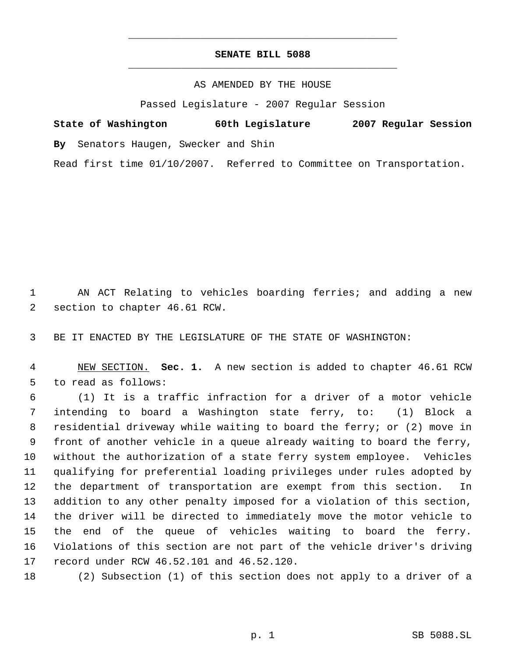# **SENATE BILL 5088** \_\_\_\_\_\_\_\_\_\_\_\_\_\_\_\_\_\_\_\_\_\_\_\_\_\_\_\_\_\_\_\_\_\_\_\_\_\_\_\_\_\_\_\_\_

\_\_\_\_\_\_\_\_\_\_\_\_\_\_\_\_\_\_\_\_\_\_\_\_\_\_\_\_\_\_\_\_\_\_\_\_\_\_\_\_\_\_\_\_\_

### AS AMENDED BY THE HOUSE

Passed Legislature - 2007 Regular Session

**State of Washington 60th Legislature 2007 Regular Session By** Senators Haugen, Swecker and Shin Read first time 01/10/2007. Referred to Committee on Transportation.

 AN ACT Relating to vehicles boarding ferries; and adding a new section to chapter 46.61 RCW.

BE IT ENACTED BY THE LEGISLATURE OF THE STATE OF WASHINGTON:

 NEW SECTION. **Sec. 1.** A new section is added to chapter 46.61 RCW to read as follows:

 (1) It is a traffic infraction for a driver of a motor vehicle intending to board a Washington state ferry, to: (1) Block a residential driveway while waiting to board the ferry; or (2) move in front of another vehicle in a queue already waiting to board the ferry, without the authorization of a state ferry system employee. Vehicles qualifying for preferential loading privileges under rules adopted by the department of transportation are exempt from this section. In addition to any other penalty imposed for a violation of this section, the driver will be directed to immediately move the motor vehicle to the end of the queue of vehicles waiting to board the ferry. Violations of this section are not part of the vehicle driver's driving record under RCW 46.52.101 and 46.52.120.

(2) Subsection (1) of this section does not apply to a driver of a